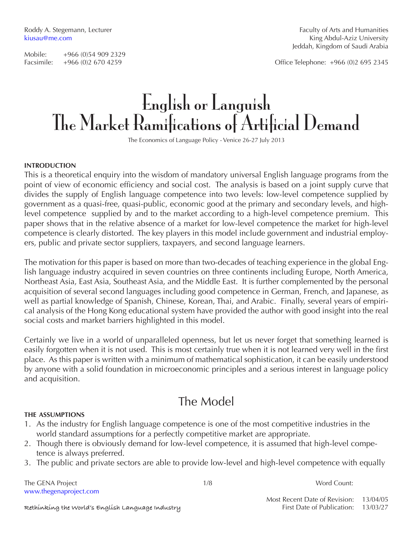Facsimile: +966 (0)2 670 4259 Office Telephone: +966 (0)2 695 2345

# English or Languish The Market Ramifications of Artificial Demand

The Economics of Language Policy - Venice 26-27 July 2013

### **introduction**

This is a theoretical enquiry into the wisdom of mandatory universal English language programs from the point of view of economic efficiency and social cost. The analysis is based on a joint supply curve that divides the supply of English language competence into two levels: low-level competence supplied by government as a quasi-free, quasi-public, economic good at the primary and secondary levels, and highlevel competence supplied by and to the market according to a high-level competence premium. This paper shows that in the relative absence of a market for low-level competence the market for high-level competence is clearly distorted. The key players in this model include government and industrial employers, public and private sector suppliers, taxpayers, and second language learners.

The motivation for this paper is based on more than two-decades of teaching experience in the global English language industry acquired in seven countries on three continents including Europe, North America, Northeast Asia, East Asia, Southeast Asia, and the Middle East. It is further complemented by the personal acquisition of several second languages including good competence in German, French, and Japanese, as well as partial knowledge of Spanish, Chinese, Korean, Thai, and Arabic. Finally, several years of empirical analysis of the Hong Kong educational system have provided the author with good insight into the real social costs and market barriers highlighted in this model.

Certainly we live in a world of unparalleled openness, but let us never forget that something learned is easily forgotten when it is not used. This is most certainly true when it is not learned very well in the first place. As this paper is written with a minimum of mathematical sophistication, it can be easily understood by anyone with a solid foundation in microeconomic principles and a serious interest in language policy and acquisition.

## The Model

### **the assumptions**

- 1. As the industry for English language competence is one of the most competitive industries in the world standard assumptions for a perfectly competitive market are appropriate.
- 2. Though there is obviously demand for low-level competence, it is assumed that high-level competence is always preferred.
- 3. The public and private sectors are able to provide low-level and high-level competence with equally

The GENA Project and the set of the set of the set of the set of the GENA Project and the set of the set of the set of the set of the set of the set of the set of the set of the set of the set of the set of the set of the www.thegenaproject.com

Most Recent Date of Revision: 13/04/05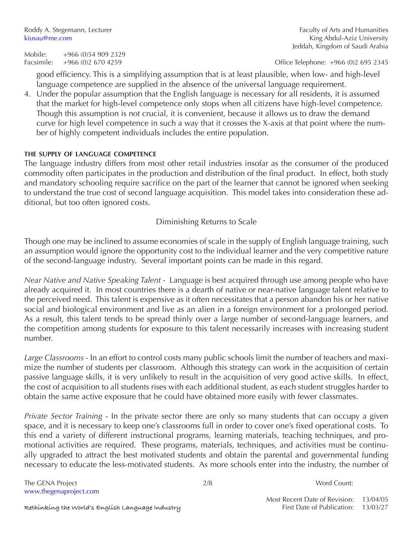Roddy A. Stegemann, Lecturer Faculty of Arts and Humanities kiusau@me.com **King Abdul-Aziz University** Jeddah, Kingdom of Saudi Arabia

Facsimile: +966 (0)2 670 4259 Office Telephone: +966 (0)2 695 2345

good efficiency. This is a simplifying assumption that is at least plausible, when low- and high-level language competence are supplied in the absence of the universal language requirement.

4. Under the popular assumption that the English language is necessary for all residents, it is assumed that the market for high-level competence only stops when all citizens have high-level competence. Though this assumption is not crucial, it is convenient, because it allows us to draw the demand curve for high level competence in such a way that it crosses the X-axis at that point where the number of highly competent individuals includes the entire population.

### **the supply of language competence**

The language industry differs from most other retail industries insofar as the consumer of the produced commodity often participates in the production and distribution of the final product. In effect, both study and mandatory schooling require sacrifice on the part of the learner that cannot be ignored when seeking to understand the true cost of second language acquisition. This model takes into consideration these additional, but too often ignored costs.

### Diminishing Returns to Scale

Though one may be inclined to assume economies of scale in the supply of English language training, such an assumption would ignore the opportunity cost to the individual learner and the very competitive nature of the second-language industry. Several important points can be made in this regard.

*Near Native and Native Speaking Talent* - Language is best acquired through use among people who have already acquired it. In most countries there is a dearth of native or near-native language talent relative to the perceived need. This talent is expensive as it often necessitates that a person abandon his or her native social and biological environment and live as an alien in a foreign environment for a prolonged period. As a result, this talent tends to be spread thinly over a large number of second-language learners, and the competition among students for exposure to this talent necessarily increases with increasing student number.

*Large Classrooms* - In an effort to control costs many public schools limit the number of teachers and maximize the number of students per classroom. Although this strategy can work in the acquisition of certain passive language skills, it is very unlikely to result in the acquisition of very good active skills. In effect, the cost of acquisition to all students rises with each additional student, as each student struggles harder to obtain the same active exposure that he could have obtained more easily with fewer classmates.

*Private Sector Training* - In the private sector there are only so many students that can occupy a given space, and it is necessary to keep one's classrooms full in order to cover one's fixed operational costs. To this end a variety of different instructional programs, learning materials, teaching techniques, and promotional activities are required. These programs, materials, techniques, and activities must be continually upgraded to attract the best motivated students and obtain the parental and governmental funding necessary to educate the less-motivated students. As more schools enter into the industry, the number of

The GENA Project 2/8 Word Count: www.thegenaproject.com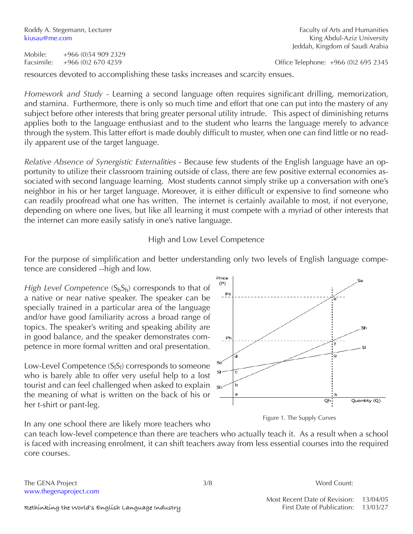Facsimile: +966 (0)2 670 4259 Office Telephone: +966 (0)2 695 2345

resources devoted to accomplishing these tasks increases and scarcity ensues.

*Homework and Study* - Learning a second language often requires significant drilling, memorization, and stamina. Furthermore, there is only so much time and effort that one can put into the mastery of any subject before other interests that bring greater personal utility intrude. This aspect of diminishing returns applies both to the language enthusiast and to the student who learns the language merely to advance through the system. This latter effort is made doubly difficult to muster, when one can find little or no readily apparent use of the target language.

*Relative Absence of Synergistic Externalities* - Because few students of the English language have an opportunity to utilize their classroom training outside of class, there are few positive external economies associated with second language learning. Most students cannot simply strike up a conversation with one's neighbor in his or her target language. Moreover, it is either difficult or expensive to find someone who can readily proofread what one has written. The internet is certainly available to most, if not everyone, depending on where one lives, but like all learning it must compete with a myriad of other interests that the internet can more easily satisfy in one's native language.

High and Low Level Competence

For the purpose of simplification and better understanding only two levels of English language competence are considered --high and low.

*High Level Competence*  $(S_hS_h)$  corresponds to that of a native or near native speaker. The speaker can be specially trained in a particular area of the language and/or have good familiarity across a broad range of topics. The speaker's writing and speaking ability are in good balance, and the speaker demonstrates competence in more formal written and oral presentation.

Low-Level Competence  $(S_1S_1)$  corresponds to someone who is barely able to offer very useful help to a lost tourist and can feel challenged when asked to explain the meaning of what is written on the back of his or her t-shirt or pant-leg.



Figure 1. The Supply Curves

In any one school there are likely more teachers who

can teach low-level competence than there are teachers who actually teach it. As a result when a school is faced with increasing enrolment, it can shift teachers away from less essential courses into the required core courses.

The GENA Project and the set of the set of the set of the SENA Project and the SENA Project and the SENA Project www.thegenaproject.com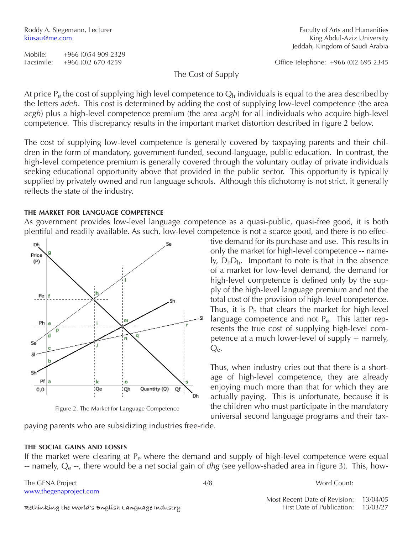Rethinking the World's English Language Industry **First Date of Publication:** 13/03/27

**the social gains and losses**

www.thegenaproject.com

The Cost of Supply

At price  $P_e$  the cost of supplying high level competence to  $Q_h$  individuals is equal to the area described by the letters *adeh*. This cost is determined by adding the cost of supplying low-level competence (the area *acgh*) plus a high-level competence premium (the area *acgh*) for all individuals who acquire high-level competence. This discrepancy results in the important market distortion described in figure 2 below.

The cost of supplying low-level competence is generally covered by taxpaying parents and their children in the form of mandatory, government-funded, second-language, public education. In contrast, the high-level competence premium is generally covered through the voluntary outlay of private individuals seeking educational opportunity above that provided in the public sector. This opportunity is typically supplied by privately owned and run language schools. Although this dichotomy is not strict, it generally reflects the state of the industry.

### **the market for language competence**

As government provides low-level language competence as a quasi-public, quasi-free good, it is both plentiful and readily available. As such, low-level competence is not a scarce good, and there is no effec-



Figure 2. The Market for Language Competence

paying parents who are subsidizing industries free-ride.

tive demand for its purchase and use. This results in only the market for high-level competence -- name- $I_y$ ,  $D_bD_b$ . Important to note is that in the absence of a market for low-level demand, the demand for high-level competence is defined only by the supply of the high-level language premium and not the total cost of the provision of high-level competence. Thus, it is  $P_h$  that clears the market for high-level language competence and not  $P_{e}$ . This latter represents the true cost of supplying high-level competence at a much lower-level of supply -- namely, Qe.

Thus, when industry cries out that there is a shortage of high-level competence, they are already enjoying much more than that for which they are actually paying. This is unfortunate, because it is the children who must participate in the mandatory universal second language programs and their tax-

Roddy A. Stegemann, Lecturer Faculty of Arts and Humanities kiusau@me.com **King Abdul-Aziz University** Jeddah, Kingdom of Saudi Arabia

Facsimile: +966 (0)2 670 4259 Office Telephone: +966 (0)2 695 2345

Most Recent Date of Revision: 13/04/05

If the market were clearing at  $P_e$  where the demand and supply of high-level competence were equal -- namely, Qe --, there would be a net social gain of *dhg* (see yellow-shaded area in figure 3). This, how-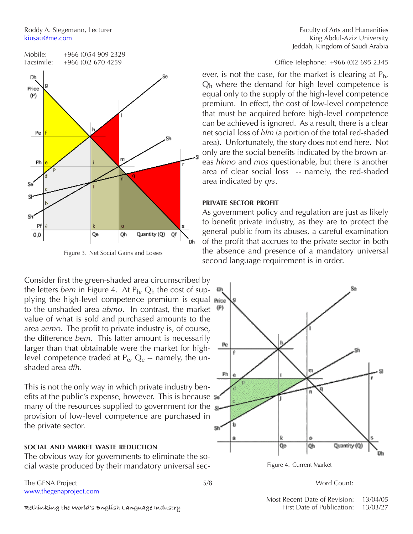

Figure 3. Net Social Gains and Losses

Consider first the green-shaded area circumscribed by the letters *bem* in Figure 4. At Ph, Qh the cost of supplying the high-level competence premium is equal medito the unshaded area *abmo*. In contrast, the market value of what is sold and purchased amounts to the area *aemo*. The profit to private industry is, of course, the difference *bem*. This latter amount is necessarily larger than that obtainable were the market for highlevel competence traded at  $P_{e}$ ,  $Q_{e}$  -- namely, the unshaded area *dfh*.

This is not the only way in which private industry benefits at the public's expense, however. This is because  $\sqrt{s}$ many of the resources supplied to government for the  $\mathbf{s}$ provision of low-level competence are purchased in the private sector.

### **social and market waste reduction**

The obvious way for governments to eliminate the social waste produced by their mandatory universal sec-

The GENA Project and the state of the SENA Project and the SENA Project and the SENA Project and the SENA Project www.thegenaproject.com

Roddy A. Stegemann, Lecturer Faculty of Arts and Humanities kiusau@me.com **King Abdul-Aziz University** Jeddah, Kingdom of Saudi Arabia

ever, is not the case, for the market is clearing at  $P_{h}$ ,  $Q<sub>h</sub>$  where the demand for high level competence is equal only to the supply of the high-level competence premium. In effect, the cost of low-level competence that must be acquired before high-level competence can be achieved is ignored. As a result, there is a clear net social loss of *hlm* (a portion of the total red-shaded area). Unfortunately, the story does not end here. Not only are the social benefits indicated by the brown areas *hkmo* and *mos* questionable, but there is another area of clear social loss -- namely, the red-shaded area indicated by *qrs*.

### **private sector profit**

As government policy and regulation are just as likely to benefit private industry, as they are to protect the general public from its abuses, a careful examination of the profit that accrues to the private sector in both the absence and presence of a mandatory universal second language requirement is in order.



Figure 4. Current Market

Most Recent Date of Revision: 13/04/05

Rethinking the World's English Language Industry **First Date of Publication:** 13/03/27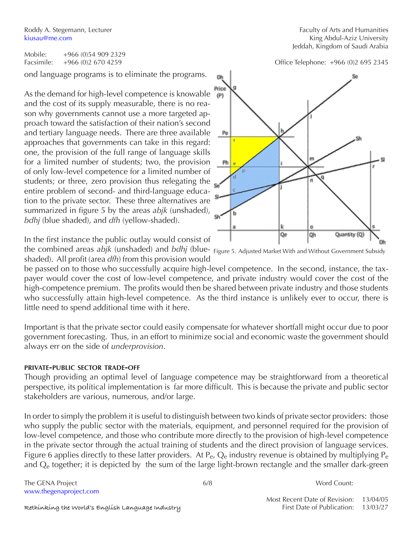Roddy A. Stegemann, Lecturer kiusau@me.com

Mobile: +966 (0)54 909 2329

ond language programs is to eliminate the programs.

As the demand for high-level competence is knowable and the cost of its supply measurable, there is no reason why governments cannot use a more targeted approach toward the satisfaction of their nation's second and tertiary language needs. There are three available approaches that governments can take in this regard: one, the provision of the full range of language skills for a limited number of students; two, the provision of only low-level competence for a limited number of students; or three, zero provision thus relegating the entire problem of second- and third-language education to the private sector. These three alternatives are summarized in figure 5 by the areas *abjk* (unshaded), *bdhj* (blue shaded), and *dfh* (yellow-shaded).

In the first instance the public outlay would consist of

the combined areas *abjk* (unshaded) and *bdhj* (blue-Figure 5. Adjusted Market With and Without Government Subsidyshaded). All profit (area *dfh*) from this provision would

be passed on to those who successfully acquire high-level competence. In the second, instance, the taxpayer would cover the cost of low-level competence, and private industry would cover the cost of the high-competence premium. The profits would then be shared between private industry and those students who successfully attain high-level competence. As the third instance is unlikely ever to occur, there is little need to spend additional time with it here.

Important is that the private sector could easily compensate for whatever shortfall might occur due to poor government forecasting. Thus, in an effort to minimize social and economic waste the government should always err on the side of *underprovision*.

### **private-public sector trade-off**

Though providing an optimal level of language competence may be straightforward from a theoretical perspective, its political implementation is far more difficult. This is because the private and public sector stakeholders are various, numerous, and/or large.

In order to simply the problem it is useful to distinguish between two kinds of private sector providers: those who supply the public sector with the materials, equipment, and personnel required for the provision of low-level competence, and those who contribute more directly to the provision of high-level competence in the private sector through the actual training of students and the direct provision of language services. Figure 6 applies directly to these latter providers. At  $P_e$ ,  $Q_e$  industry revenue is obtained by multiplying  $P_e$ and  $Q<sub>e</sub>$  together; it is depicted by the sum of the large light-brown rectangle and the smaller dark-green

The GENA Project and the set of the GENA Project and the set of the GENA Project and the Second Count: www.thegenaproject.com

| Faculty of Arts and Humanities  |
|---------------------------------|
| King Abdul-Aziz University      |
| Jeddah, Kingdom of Saudi Arabia |

Facsimile: +966 (0)2 670 4259 Office Telephone: +966 (0)2 695 2345

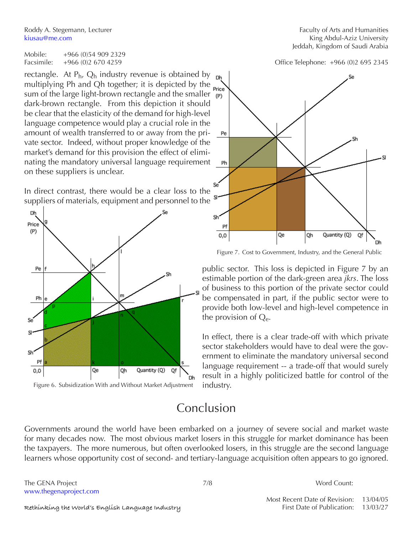Roddy A. Stegemann, Lecturer Faculty of Arts and Humanities

Mobile: +966 (0)54 909 2329

rectangle. At  $P_h$ ,  $Q_h$  industry revenue is obtained by multiplying Ph and Qh together; it is depicted by the  $_{\text{Price}}$ sum of the large light-brown rectangle and the smaller  $\frac{1}{p}$ dark-brown rectangle. From this depiction it should be clear that the elasticity of the demand for high-level language competence would play a crucial role in the amount of wealth transferred to or away from the private sector. Indeed, without proper knowledge of the market's demand for this provision the effect of eliminating the mandatory universal language requirement on these suppliers is unclear.

In direct contrast, there would be a clear loss to the suppliers of materials, equipment and personnel to the





# Conclusion

Governments around the world have been embarked on a journey of severe social and market waste for many decades now. The most obvious market losers in this struggle for market dominance has been the taxpayers. The more numerous, but often overlooked losers, in this struggle are the second language learners whose opportunity cost of second- and tertiary-language acquisition often appears to go ignored.

The GENA Project and the state of the SENA Project and the SENA Project and the SENA Project and the SENA Project and the SENA Project and the SENA Project and the SENA Project and the SENA Project and the SENA Project and www.thegenaproject.com

kiusau@me.com **King Abdul-Aziz University** Jeddah, Kingdom of Saudi Arabia

Facsimile: +966 (0)2 670 4259 Office Telephone: +966 (0)2 695 2345



Figure 7. Cost to Government, Industry, and the General Public

public sector. This loss is depicted in Figure 7 by an estimable portion of the dark-green area *jkrs*. The loss of business to this portion of the private sector could be compensated in part, if the public sector were to provide both low-level and high-level competence in the provision of  $Q_{e}$ .

In effect, there is a clear trade-off with which private sector stakeholders would have to deal were the government to eliminate the mandatory universal second language requirement -- a trade-off that would surely result in a highly politicized battle for control of the industry.